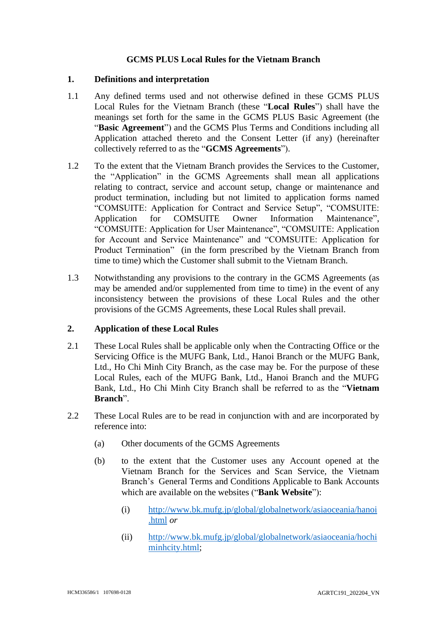# **GCMS PLUS Local Rules for the Vietnam Branch**

#### **1. Definitions and interpretation**

- 1.1 Any defined terms used and not otherwise defined in these GCMS PLUS Local Rules for the Vietnam Branch (these "**Local Rules**") shall have the meanings set forth for the same in the GCMS PLUS Basic Agreement (the "**Basic Agreement**") and the GCMS Plus Terms and Conditions including all Application attached thereto and the Consent Letter (if any) (hereinafter collectively referred to as the "**GCMS Agreements**").
- 1.2 To the extent that the Vietnam Branch provides the Services to the Customer, the "Application" in the GCMS Agreements shall mean all applications relating to contract, service and account setup, change or maintenance and product termination, including but not limited to application forms named "COMSUITE: Application for Contract and Service Setup", "COMSUITE: Application for COMSUITE Owner Information Maintenance", "COMSUITE: Application for User Maintenance", "COMSUITE: Application for Account and Service Maintenance" and "COMSUITE: Application for Product Termination" (in the form prescribed by the Vietnam Branch from time to time) which the Customer shall submit to the Vietnam Branch.
- 1.3 Notwithstanding any provisions to the contrary in the GCMS Agreements (as may be amended and/or supplemented from time to time) in the event of any inconsistency between the provisions of these Local Rules and the other provisions of the GCMS Agreements, these Local Rules shall prevail.

# **2. Application of these Local Rules**

- 2.1 These Local Rules shall be applicable only when the Contracting Office or the Servicing Office is the MUFG Bank, Ltd., Hanoi Branch or the MUFG Bank, Ltd., Ho Chi Minh City Branch, as the case may be. For the purpose of these Local Rules, each of the MUFG Bank, Ltd., Hanoi Branch and the MUFG Bank, Ltd., Ho Chi Minh City Branch shall be referred to as the "**Vietnam Branch**".
- <span id="page-0-0"></span>2.2 These Local Rules are to be read in conjunction with and are incorporated by reference into:
	- (a) Other documents of the GCMS Agreements
	- (b) to the extent that the Customer uses any Account opened at the Vietnam Branch for the Services and Scan Service, the Vietnam Branch's General Terms and Conditions Applicable to Bank Accounts which are available on the websites ("**Bank Website**"):
		- (i) [http://www.bk.mufg.jp/global/globalnetwork/asiaoceania/hanoi](http://www.bk.mufg.jp/global/globalnetwork/asiaoceania/hanoi.html) [.html](http://www.bk.mufg.jp/global/globalnetwork/asiaoceania/hanoi.html) *or*
		- (ii) [http://www.bk.mufg.jp/global/globalnetwork/asiaoceania/hochi](http://www.bk.mufg.jp/global/globalnetwork/asiaoceania/hochiminhcity.html) [minhcity.html;](http://www.bk.mufg.jp/global/globalnetwork/asiaoceania/hochiminhcity.html)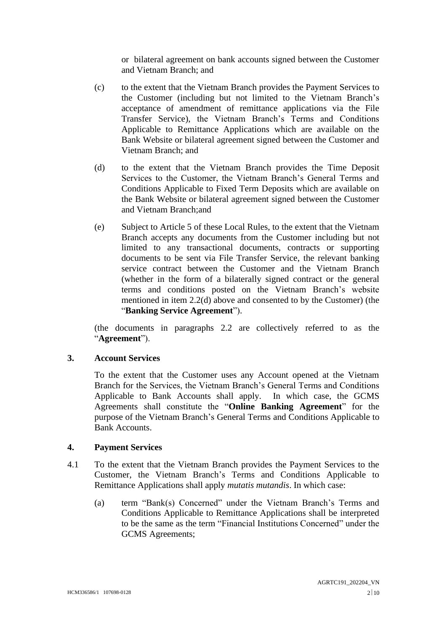or bilateral agreement on bank accounts signed between the Customer and Vietnam Branch; and

- (c) to the extent that the Vietnam Branch provides the Payment Services to the Customer (including but not limited to the Vietnam Branch's acceptance of amendment of remittance applications via the File Transfer Service), the Vietnam Branch's Terms and Conditions Applicable to Remittance Applications which are available on the Bank Website or bilateral agreement signed between the Customer and Vietnam Branch; and
- (d) to the extent that the Vietnam Branch provides the Time Deposit Services to the Customer, the Vietnam Branch's General Terms and Conditions Applicable to Fixed Term Deposits which are available on the Bank Website or bilateral agreement signed between the Customer and Vietnam Branch;and
- (e) Subject to Article 5 of these Local Rules, to the extent that the Vietnam Branch accepts any documents from the Customer including but not limited to any transactional documents, contracts or supporting documents to be sent via File Transfer Service, the relevant banking service contract between the Customer and the Vietnam Branch (whether in the form of a bilaterally signed contract or the general terms and conditions posted on the Vietnam Branch's website mentioned in item 2.2(d) above and consented to by the Customer) (the "**Banking Service Agreement**").

(the documents in paragraphs [2.2](#page-0-0) are collectively referred to as the "**Agreement**").

### **3. Account Services**

To the extent that the Customer uses any Account opened at the Vietnam Branch for the Services, the Vietnam Branch's General Terms and Conditions Applicable to Bank Accounts shall apply. In which case, the GCMS Agreements shall constitute the "**Online Banking Agreement**" for the purpose of the Vietnam Branch's General Terms and Conditions Applicable to Bank Accounts.

### **4. Payment Services**

- 4.1 To the extent that the Vietnam Branch provides the Payment Services to the Customer, the Vietnam Branch's Terms and Conditions Applicable to Remittance Applications shall apply *mutatis mutandis*. In which case:
	- (a) term "Bank(s) Concerned" under the Vietnam Branch's Terms and Conditions Applicable to Remittance Applications shall be interpreted to be the same as the term "Financial Institutions Concerned" under the GCMS Agreements;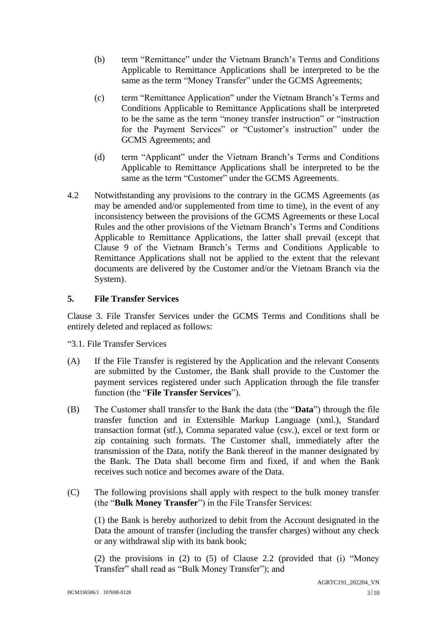- (b) term "Remittance" under the Vietnam Branch's Terms and Conditions Applicable to Remittance Applications shall be interpreted to be the same as the term "Money Transfer" under the GCMS Agreements;
- (c) term "Remittance Application" under the Vietnam Branch's Terms and Conditions Applicable to Remittance Applications shall be interpreted to be the same as the term "money transfer instruction" or "instruction for the Payment Services" or "Customer's instruction" under the GCMS Agreements; and
- (d) term "Applicant" under the Vietnam Branch's Terms and Conditions Applicable to Remittance Applications shall be interpreted to be the same as the term "Customer" under the GCMS Agreements.
- 4.2 Notwithstanding any provisions to the contrary in the GCMS Agreements (as may be amended and/or supplemented from time to time), in the event of any inconsistency between the provisions of the GCMS Agreements or these Local Rules and the other provisions of the Vietnam Branch's Terms and Conditions Applicable to Remittance Applications, the latter shall prevail (except that Clause 9 of the Vietnam Branch's Terms and Conditions Applicable to Remittance Applications shall not be applied to the extent that the relevant documents are delivered by the Customer and/or the Vietnam Branch via the System).

# **5. File Transfer Services**

Clause 3. File Transfer Services under the GCMS Terms and Conditions shall be entirely deleted and replaced as follows:

"3.1. File Transfer Services

- (A) If the File Transfer is registered by the Application and the relevant Consents are submitted by the Customer, the Bank shall provide to the Customer the payment services registered under such Application through the file transfer function (the "**File Transfer Services**").
- (B) The Customer shall transfer to the Bank the data (the "**Data**") through the file transfer function and in Extensible Markup Language (xml.), Standard transaction format (stf.), Comma separated value (csv.), excel or text form or zip containing such formats. The Customer shall, immediately after the transmission of the Data, notify the Bank thereof in the manner designated by the Bank. The Data shall become firm and fixed, if and when the Bank receives such notice and becomes aware of the Data.
- (C) The following provisions shall apply with respect to the bulk money transfer (the "**Bulk Money Transfer**") in the File Transfer Services:

(1) the Bank is hereby authorized to debit from the Account designated in the Data the amount of transfer (including the transfer charges) without any check or any withdrawal slip with its bank book;

(2) the provisions in (2) to (5) of Clause 2.2 (provided that (i) "Money Transfer" shall read as "Bulk Money Transfer"); and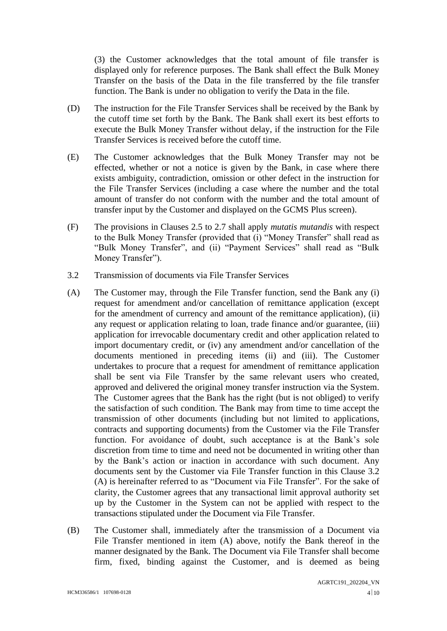(3) the Customer acknowledges that the total amount of file transfer is displayed only for reference purposes. The Bank shall effect the Bulk Money Transfer on the basis of the Data in the file transferred by the file transfer function. The Bank is under no obligation to verify the Data in the file.

- (D) The instruction for the File Transfer Services shall be received by the Bank by the cutoff time set forth by the Bank. The Bank shall exert its best efforts to execute the Bulk Money Transfer without delay, if the instruction for the File Transfer Services is received before the cutoff time.
- (E) The Customer acknowledges that the Bulk Money Transfer may not be effected, whether or not a notice is given by the Bank, in case where there exists ambiguity, contradiction, omission or other defect in the instruction for the File Transfer Services (including a case where the number and the total amount of transfer do not conform with the number and the total amount of transfer input by the Customer and displayed on the GCMS Plus screen).
- (F) The provisions in Clauses 2.5 to 2.7 shall apply *mutatis mutandis* with respect to the Bulk Money Transfer (provided that (i) "Money Transfer" shall read as "Bulk Money Transfer", and (ii) "Payment Services" shall read as "Bulk Money Transfer").
- 3.2 Transmission of documents via File Transfer Services
- (A) The Customer may, through the File Transfer function, send the Bank any (i) request for amendment and/or cancellation of remittance application (except for the amendment of currency and amount of the remittance application), (ii) any request or application relating to loan, trade finance and/or guarantee, (iii) application for irrevocable documentary credit and other application related to import documentary credit, or (iv) any amendment and/or cancellation of the documents mentioned in preceding items (ii) and (iii). The Customer undertakes to procure that a request for amendment of remittance application shall be sent via File Transfer by the same relevant users who created, approved and delivered the original money transfer instruction via the System. The Customer agrees that the Bank has the right (but is not obliged) to verify the satisfaction of such condition. The Bank may from time to time accept the transmission of other documents (including but not limited to applications, contracts and supporting documents) from the Customer via the File Transfer function. For avoidance of doubt, such acceptance is at the Bank's sole discretion from time to time and need not be documented in writing other than by the Bank's action or inaction in accordance with such document. Any documents sent by the Customer via File Transfer function in this Clause 3.2 (A) is hereinafter referred to as "Document via File Transfer". For the sake of clarity, the Customer agrees that any transactional limit approval authority set up by the Customer in the System can not be applied with respect to the transactions stipulated under the Document via File Transfer.
- (B) The Customer shall, immediately after the transmission of a Document via File Transfer mentioned in item (A) above, notify the Bank thereof in the manner designated by the Bank. The Document via File Transfer shall become firm, fixed, binding against the Customer, and is deemed as being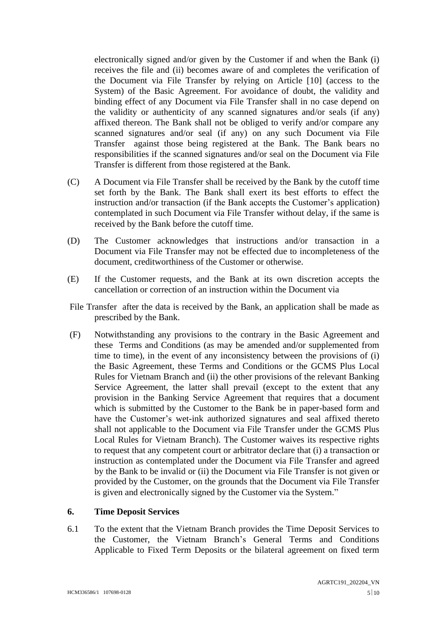electronically signed and/or given by the Customer if and when the Bank (i) receives the file and (ii) becomes aware of and completes the verification of the Document via File Transfer by relying on Article [10] (access to the System) of the Basic Agreement. For avoidance of doubt, the validity and binding effect of any Document via File Transfer shall in no case depend on the validity or authenticity of any scanned signatures and/or seals (if any) affixed thereon. The Bank shall not be obliged to verify and/or compare any scanned signatures and/or seal (if any) on any such Document via File Transfer against those being registered at the Bank. The Bank bears no responsibilities if the scanned signatures and/or seal on the Document via File Transfer is different from those registered at the Bank.

- (C) A Document via File Transfer shall be received by the Bank by the cutoff time set forth by the Bank. The Bank shall exert its best efforts to effect the instruction and/or transaction (if the Bank accepts the Customer's application) contemplated in such Document via File Transfer without delay, if the same is received by the Bank before the cutoff time.
- (D) The Customer acknowledges that instructions and/or transaction in a Document via File Transfer may not be effected due to incompleteness of the document, creditworthiness of the Customer or otherwise.
- (E) If the Customer requests, and the Bank at its own discretion accepts the cancellation or correction of an instruction within the Document via
- File Transfer after the data is received by the Bank, an application shall be made as prescribed by the Bank.
- (F) Notwithstanding any provisions to the contrary in the Basic Agreement and these Terms and Conditions (as may be amended and/or supplemented from time to time), in the event of any inconsistency between the provisions of (i) the Basic Agreement, these Terms and Conditions or the GCMS Plus Local Rules for Vietnam Branch and (ii) the other provisions of the relevant Banking Service Agreement, the latter shall prevail (except to the extent that any provision in the Banking Service Agreement that requires that a document which is submitted by the Customer to the Bank be in paper-based form and have the Customer's wet-ink authorized signatures and seal affixed thereto shall not applicable to the Document via File Transfer under the GCMS Plus Local Rules for Vietnam Branch). The Customer waives its respective rights to request that any competent court or arbitrator declare that (i) a transaction or instruction as contemplated under the Document via File Transfer and agreed by the Bank to be invalid or (ii) the Document via File Transfer is not given or provided by the Customer, on the grounds that the Document via File Transfer is given and electronically signed by the Customer via the System."

### **6. Time Deposit Services**

6.1 To the extent that the Vietnam Branch provides the Time Deposit Services to the Customer, the Vietnam Branch's General Terms and Conditions Applicable to Fixed Term Deposits or the bilateral agreement on fixed term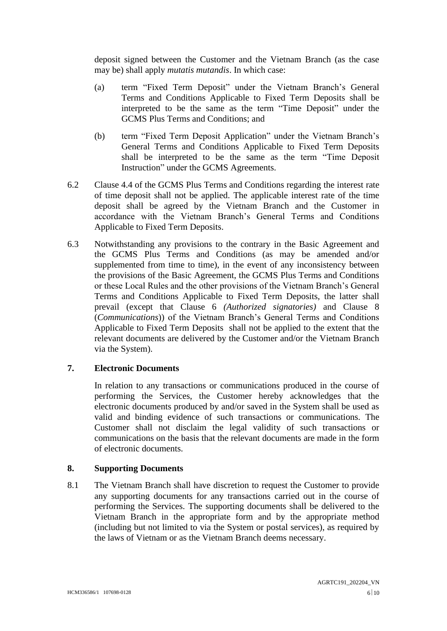deposit signed between the Customer and the Vietnam Branch (as the case may be) shall apply *mutatis mutandis*. In which case:

- (a) term "Fixed Term Deposit" under the Vietnam Branch's General Terms and Conditions Applicable to Fixed Term Deposits shall be interpreted to be the same as the term "Time Deposit" under the GCMS Plus Terms and Conditions; and
- (b) term "Fixed Term Deposit Application" under the Vietnam Branch's General Terms and Conditions Applicable to Fixed Term Deposits shall be interpreted to be the same as the term "Time Deposit Instruction" under the GCMS Agreements.
- 6.2 Clause 4.4 of the GCMS Plus Terms and Conditions regarding the interest rate of time deposit shall not be applied. The applicable interest rate of the time deposit shall be agreed by the Vietnam Branch and the Customer in accordance with the Vietnam Branch's General Terms and Conditions Applicable to Fixed Term Deposits.
- 6.3 Notwithstanding any provisions to the contrary in the Basic Agreement and the GCMS Plus Terms and Conditions (as may be amended and/or supplemented from time to time), in the event of any inconsistency between the provisions of the Basic Agreement, the GCMS Plus Terms and Conditions or these Local Rules and the other provisions of the Vietnam Branch's General Terms and Conditions Applicable to Fixed Term Deposits, the latter shall prevail (except that Clause 6 *(Authorized signatories)* and Clause 8 (*Communications*)) of the Vietnam Branch's General Terms and Conditions Applicable to Fixed Term Deposits shall not be applied to the extent that the relevant documents are delivered by the Customer and/or the Vietnam Branch via the System).

# **7. Electronic Documents**

In relation to any transactions or communications produced in the course of performing the Services, the Customer hereby acknowledges that the electronic documents produced by and/or saved in the System shall be used as valid and binding evidence of such transactions or communications. The Customer shall not disclaim the legal validity of such transactions or communications on the basis that the relevant documents are made in the form of electronic documents.

### **8. Supporting Documents**

8.1 The Vietnam Branch shall have discretion to request the Customer to provide any supporting documents for any transactions carried out in the course of performing the Services. The supporting documents shall be delivered to the Vietnam Branch in the appropriate form and by the appropriate method (including but not limited to via the System or postal services), as required by the laws of Vietnam or as the Vietnam Branch deems necessary.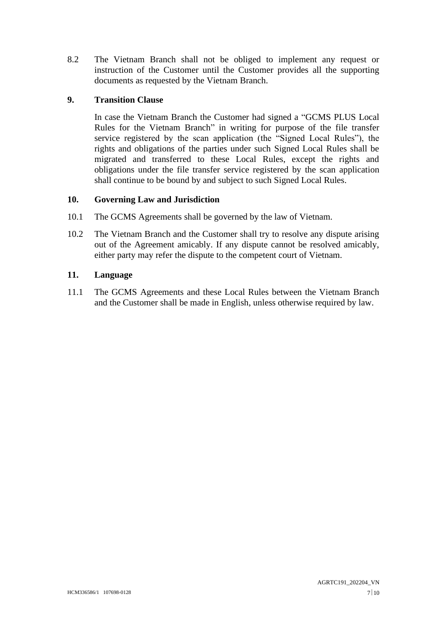8.2 The Vietnam Branch shall not be obliged to implement any request or instruction of the Customer until the Customer provides all the supporting documents as requested by the Vietnam Branch.

# **9. Transition Clause**

In case the Vietnam Branch the Customer had signed a "GCMS PLUS Local Rules for the Vietnam Branch" in writing for purpose of the file transfer service registered by the scan application (the "Signed Local Rules"), the rights and obligations of the parties under such Signed Local Rules shall be migrated and transferred to these Local Rules, except the rights and obligations under the file transfer service registered by the scan application shall continue to be bound by and subject to such Signed Local Rules.

# **10. Governing Law and Jurisdiction**

- 10.1 The GCMS Agreements shall be governed by the law of Vietnam.
- 10.2 The Vietnam Branch and the Customer shall try to resolve any dispute arising out of the Agreement amicably. If any dispute cannot be resolved amicably, either party may refer the dispute to the competent court of Vietnam.

# **11. Language**

11.1 The GCMS Agreements and these Local Rules between the Vietnam Branch and the Customer shall be made in English, unless otherwise required by law.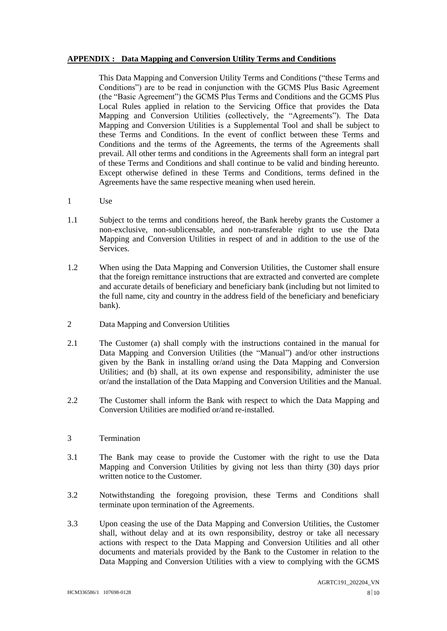#### **APPENDIX : Data Mapping and Conversion Utility Terms and Conditions**

This Data Mapping and Conversion Utility Terms and Conditions ("these Terms and Conditions") are to be read in conjunction with the GCMS Plus Basic Agreement (the "Basic Agreement") the GCMS Plus Terms and Conditions and the GCMS Plus Local Rules applied in relation to the Servicing Office that provides the Data Mapping and Conversion Utilities (collectively, the "Agreements"). The Data Mapping and Conversion Utilities is a Supplemental Tool and shall be subject to these Terms and Conditions. In the event of conflict between these Terms and Conditions and the terms of the Agreements, the terms of the Agreements shall prevail. All other terms and conditions in the Agreements shall form an integral part of these Terms and Conditions and shall continue to be valid and binding hereunto. Except otherwise defined in these Terms and Conditions, terms defined in the Agreements have the same respective meaning when used herein.

- 1 Use
- 1.1 Subject to the terms and conditions hereof, the Bank hereby grants the Customer a non-exclusive, non-sublicensable, and non-transferable right to use the Data Mapping and Conversion Utilities in respect of and in addition to the use of the Services.
- 1.2 When using the Data Mapping and Conversion Utilities, the Customer shall ensure that the foreign remittance instructions that are extracted and converted are complete and accurate details of beneficiary and beneficiary bank (including but not limited to the full name, city and country in the address field of the beneficiary and beneficiary bank).
- 2 Data Mapping and Conversion Utilities
- 2.1 The Customer (a) shall comply with the instructions contained in the manual for Data Mapping and Conversion Utilities (the "Manual") and/or other instructions given by the Bank in installing or/and using the Data Mapping and Conversion Utilities; and (b) shall, at its own expense and responsibility, administer the use or/and the installation of the Data Mapping and Conversion Utilities and the Manual.
- 2.2 The Customer shall inform the Bank with respect to which the Data Mapping and Conversion Utilities are modified or/and re-installed.
- 3 Termination
- 3.1 The Bank may cease to provide the Customer with the right to use the Data Mapping and Conversion Utilities by giving not less than thirty (30) days prior written notice to the Customer.
- 3.2 Notwithstanding the foregoing provision, these Terms and Conditions shall terminate upon termination of the Agreements.
- 3.3 Upon ceasing the use of the Data Mapping and Conversion Utilities, the Customer shall, without delay and at its own responsibility, destroy or take all necessary actions with respect to the Data Mapping and Conversion Utilities and all other documents and materials provided by the Bank to the Customer in relation to the Data Mapping and Conversion Utilities with a view to complying with the GCMS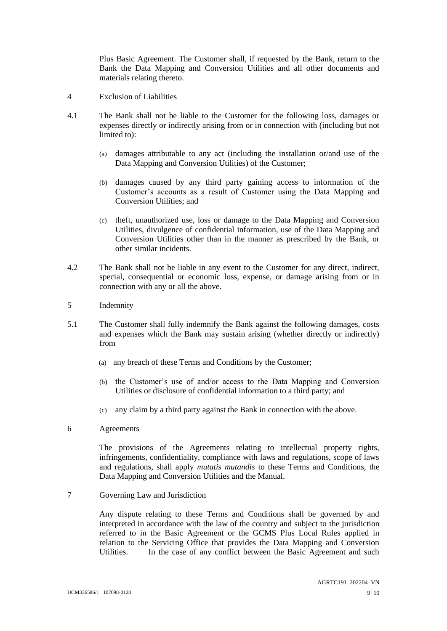Plus Basic Agreement. The Customer shall, if requested by the Bank, return to the Bank the Data Mapping and Conversion Utilities and all other documents and materials relating thereto.

- 4 Exclusion of Liabilities
- 4.1 The Bank shall not be liable to the Customer for the following loss, damages or expenses directly or indirectly arising from or in connection with (including but not limited to):
	- (a) damages attributable to any act (including the installation or/and use of the Data Mapping and Conversion Utilities) of the Customer;
	- (b) damages caused by any third party gaining access to information of the Customer's accounts as a result of Customer using the Data Mapping and Conversion Utilities; and
	- (c) theft, unauthorized use, loss or damage to the Data Mapping and Conversion Utilities, divulgence of confidential information, use of the Data Mapping and Conversion Utilities other than in the manner as prescribed by the Bank, or other similar incidents.
- 4.2 The Bank shall not be liable in any event to the Customer for any direct, indirect, special, consequential or economic loss, expense, or damage arising from or in connection with any or all the above.
- 5 Indemnity
- 5.1 The Customer shall fully indemnify the Bank against the following damages, costs and expenses which the Bank may sustain arising (whether directly or indirectly) from
	- (a) any breach of these Terms and Conditions by the Customer;
	- (b) the Customer's use of and/or access to the Data Mapping and Conversion Utilities or disclosure of confidential information to a third party; and
	- (c) any claim by a third party against the Bank in connection with the above.
- 6 Agreements

The provisions of the Agreements relating to intellectual property rights, infringements, confidentiality, compliance with laws and regulations, scope of laws and regulations, shall apply *mutatis mutandis* to these Terms and Conditions, the Data Mapping and Conversion Utilities and the Manual.

7 Governing Law and Jurisdiction

Any dispute relating to these Terms and Conditions shall be governed by and interpreted in accordance with the law of the country and subject to the jurisdiction referred to in the Basic Agreement or the GCMS Plus Local Rules applied in relation to the Servicing Office that provides the Data Mapping and Conversion Utilities. In the case of any conflict between the Basic Agreement and such